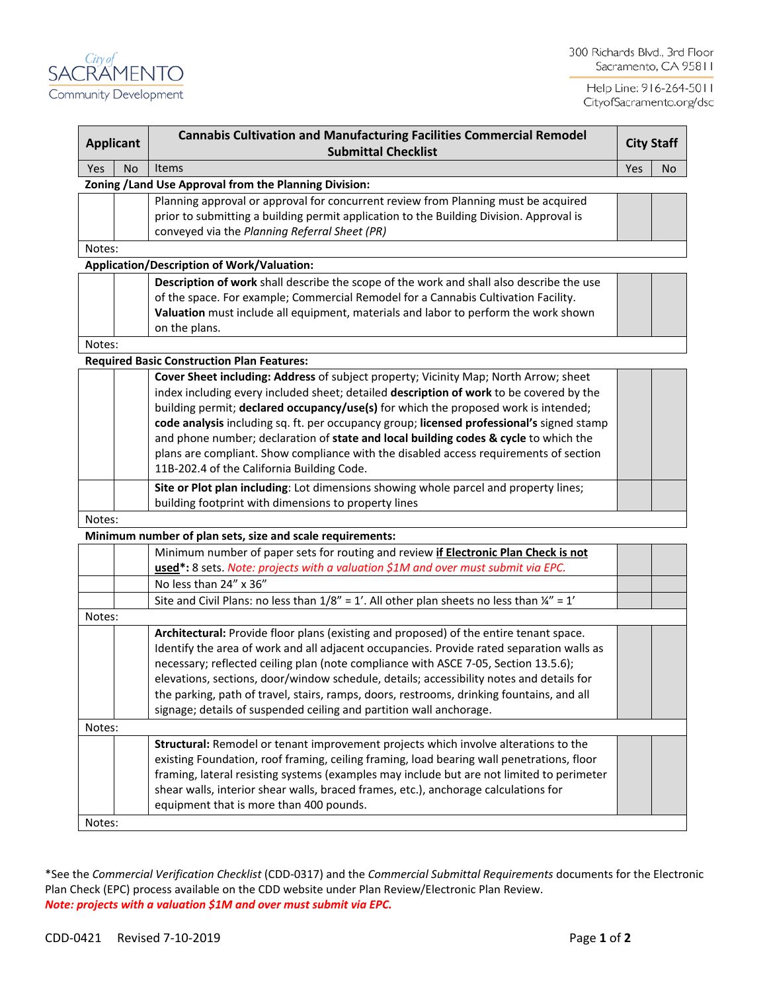

Help Line: 916-264-5011 CityofSacramento.org/dsd

| <b>Applicant</b> |                                                        | <b>Cannabis Cultivation and Manufacturing Facilities Commercial Remodel</b><br><b>Submittal Checklist</b>                                |     | <b>City Staff</b> |     |  |  |
|------------------|--------------------------------------------------------|------------------------------------------------------------------------------------------------------------------------------------------|-----|-------------------|-----|--|--|
| Yes              | No.                                                    | <b>Items</b>                                                                                                                             | Yes |                   | No. |  |  |
|                  | Zoning / Land Use Approval from the Planning Division: |                                                                                                                                          |     |                   |     |  |  |
|                  |                                                        | Planning approval or approval for concurrent review from Planning must be acquired                                                       |     |                   |     |  |  |
|                  |                                                        | prior to submitting a building permit application to the Building Division. Approval is<br>conveyed via the Planning Referral Sheet (PR) |     |                   |     |  |  |
| Notes:           |                                                        |                                                                                                                                          |     |                   |     |  |  |
|                  |                                                        | <b>Application/Description of Work/Valuation:</b>                                                                                        |     |                   |     |  |  |
|                  |                                                        | Description of work shall describe the scope of the work and shall also describe the use                                                 |     |                   |     |  |  |
|                  |                                                        | of the space. For example; Commercial Remodel for a Cannabis Cultivation Facility.                                                       |     |                   |     |  |  |
|                  |                                                        | Valuation must include all equipment, materials and labor to perform the work shown                                                      |     |                   |     |  |  |
|                  |                                                        | on the plans.                                                                                                                            |     |                   |     |  |  |
| Notes:           |                                                        |                                                                                                                                          |     |                   |     |  |  |
|                  |                                                        | <b>Required Basic Construction Plan Features:</b>                                                                                        |     |                   |     |  |  |
|                  |                                                        | Cover Sheet including: Address of subject property; Vicinity Map; North Arrow; sheet                                                     |     |                   |     |  |  |
|                  |                                                        | index including every included sheet; detailed description of work to be covered by the                                                  |     |                   |     |  |  |
|                  |                                                        | building permit; declared occupancy/use(s) for which the proposed work is intended;                                                      |     |                   |     |  |  |
|                  |                                                        | code analysis including sq. ft. per occupancy group; licensed professional's signed stamp                                                |     |                   |     |  |  |
|                  |                                                        | and phone number; declaration of state and local building codes & cycle to which the                                                     |     |                   |     |  |  |
|                  |                                                        | plans are compliant. Show compliance with the disabled access requirements of section                                                    |     |                   |     |  |  |
|                  |                                                        | 11B-202.4 of the California Building Code.                                                                                               |     |                   |     |  |  |
|                  |                                                        | Site or Plot plan including: Lot dimensions showing whole parcel and property lines;                                                     |     |                   |     |  |  |
|                  |                                                        | building footprint with dimensions to property lines                                                                                     |     |                   |     |  |  |
| Notes:           |                                                        |                                                                                                                                          |     |                   |     |  |  |
|                  |                                                        | Minimum number of plan sets, size and scale requirements:                                                                                |     |                   |     |  |  |
|                  |                                                        | Minimum number of paper sets for routing and review if Electronic Plan Check is not                                                      |     |                   |     |  |  |
|                  |                                                        | used*: 8 sets. Note: projects with a valuation \$1M and over must submit via EPC.                                                        |     |                   |     |  |  |
|                  |                                                        | No less than 24" x 36"                                                                                                                   |     |                   |     |  |  |
|                  |                                                        | Site and Civil Plans: no less than $1/8'' = 1'$ . All other plan sheets no less than $\frac{1}{4}'' = 1'$                                |     |                   |     |  |  |
| Notes:           |                                                        |                                                                                                                                          |     |                   |     |  |  |
|                  |                                                        | Architectural: Provide floor plans (existing and proposed) of the entire tenant space.                                                   |     |                   |     |  |  |
|                  |                                                        | Identify the area of work and all adjacent occupancies. Provide rated separation walls as                                                |     |                   |     |  |  |
|                  |                                                        | necessary; reflected ceiling plan (note compliance with ASCE 7-05, Section 13.5.6);                                                      |     |                   |     |  |  |
|                  |                                                        | elevations, sections, door/window schedule, details; accessibility notes and details for                                                 |     |                   |     |  |  |
|                  |                                                        | the parking, path of travel, stairs, ramps, doors, restrooms, drinking fountains, and all                                                |     |                   |     |  |  |
|                  |                                                        | signage; details of suspended ceiling and partition wall anchorage.                                                                      |     |                   |     |  |  |
| Notes:           |                                                        |                                                                                                                                          |     |                   |     |  |  |
|                  |                                                        | Structural: Remodel or tenant improvement projects which involve alterations to the                                                      |     |                   |     |  |  |
|                  |                                                        | existing Foundation, roof framing, ceiling framing, load bearing wall penetrations, floor                                                |     |                   |     |  |  |
|                  |                                                        | framing, lateral resisting systems (examples may include but are not limited to perimeter                                                |     |                   |     |  |  |
|                  |                                                        | shear walls, interior shear walls, braced frames, etc.), anchorage calculations for                                                      |     |                   |     |  |  |
|                  |                                                        | equipment that is more than 400 pounds.                                                                                                  |     |                   |     |  |  |
| Notes:           |                                                        |                                                                                                                                          |     |                   |     |  |  |

\*See the *Commercial Verification Checklist* (CDD-0317) and the *Commercial Submittal Requirements* documents for the Electronic Plan Check (EPC) process available on the CDD website under Plan Review/Electronic Plan Review. *Note: projects with a valuation \$1M and over must submit via EPC.*